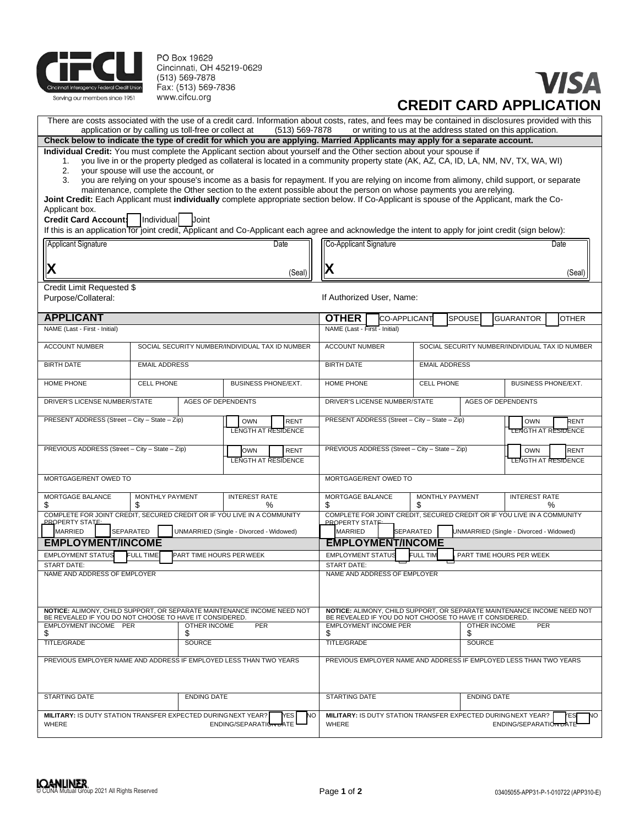

PO Box 19629 Cincinnati, OH 45219-0629 (513) 569-7878 Fax: (513) 569-7836 www.cifcu.org

# VISA **CREDIT CARD APPLICATION**

If this is an application for joint and Co-Application each agree and Co-Application  $\mathcal{L}$  for  $\mathcal{L}$  and actions  $\mathcal{L}$ 

There are costs associated with the use of a credit card. Information about costs, rates, and fees may be contained in disclosures provided with this application or by calling us toll-free or collect at (513) 569-7878 or w or writing to us at the address stated on this application. **Check below to indicate the type of credit for which you are applying. Married Applicants may apply for a separate account.**

**Individual Credit:** You must complete the Applicant section about yourself and the Other section about your spouse if

1. you live in or the property pledged as collateral is located in a community property state (AK, AZ, CA, ID, LA, NM, NV, TX, WA, WI)

2. your spouse will use the account, or<br>3. you are relying on your spouse's inco you are relying on your spouse's income as a basis for repayment. If you are relying on income from alimony, child support, or separate maintenance, complete the Other section to the extent possible about the person on whose payments you are relying.

**Joint Credit:** Each Applicant must **individually** complete appropriate section below. If Co-Applicant is spouse of the Applicant, mark the Co-Applicant box.

**Credit Card Account:** Individual Joint

| If this is an application for joint credit, Applicant and Co-Applicant each agree and acknowledge the intent to apply for joint credit (sign below): |                                                            |                     |                            |                                        |                                                                                                       |                                                                                                                                 |                                               |                            |                                                                         |                            |
|------------------------------------------------------------------------------------------------------------------------------------------------------|------------------------------------------------------------|---------------------|----------------------------|----------------------------------------|-------------------------------------------------------------------------------------------------------|---------------------------------------------------------------------------------------------------------------------------------|-----------------------------------------------|----------------------------|-------------------------------------------------------------------------|----------------------------|
| Date<br>Applicant Signature                                                                                                                          |                                                            |                     |                            |                                        | Co-Applicant Signature                                                                                |                                                                                                                                 |                                               |                            | Date                                                                    |                            |
|                                                                                                                                                      |                                                            |                     |                            |                                        |                                                                                                       |                                                                                                                                 |                                               |                            |                                                                         |                            |
| Х                                                                                                                                                    |                                                            |                     |                            | (Seal)                                 | X                                                                                                     |                                                                                                                                 |                                               |                            |                                                                         |                            |
|                                                                                                                                                      |                                                            |                     |                            |                                        |                                                                                                       | (Seal)                                                                                                                          |                                               |                            |                                                                         |                            |
| Credit Limit Requested \$                                                                                                                            |                                                            |                     |                            |                                        |                                                                                                       |                                                                                                                                 |                                               |                            |                                                                         |                            |
| Purpose/Collateral:                                                                                                                                  |                                                            |                     |                            |                                        | If Authorized User, Name:                                                                             |                                                                                                                                 |                                               |                            |                                                                         |                            |
| <b>APPLICANT</b>                                                                                                                                     | <b>OTHER</b>                                               | <b>CO-APPLICANT</b> |                            | SPOUSE                                 | <b>GUARANTOR</b>                                                                                      | <b>OTHER</b>                                                                                                                    |                                               |                            |                                                                         |                            |
| NAME (Last - First - Initial)                                                                                                                        |                                                            |                     |                            |                                        | NAME (Last - First - Initial)                                                                         |                                                                                                                                 |                                               |                            |                                                                         |                            |
| <b>ACCOUNT NUMBER</b>                                                                                                                                | SOCIAL SECURITY NUMBER/INDIVIDUAL TAX ID NUMBER            |                     |                            |                                        |                                                                                                       | <b>ACCOUNT NUMBER</b><br>SOCIAL SECURITY NUMBER/INDIVIDUAL TAX ID NUMBER                                                        |                                               |                            |                                                                         |                            |
| <b>BIRTH DATE</b>                                                                                                                                    | <b>EMAIL ADDRESS</b>                                       |                     |                            | <b>BIRTH DATE</b>                      | <b>EMAIL ADDRESS</b>                                                                                  |                                                                                                                                 |                                               |                            |                                                                         |                            |
| HOME PHONE                                                                                                                                           | <b>CELL PHONE</b>                                          |                     | <b>BUSINESS PHONE/EXT.</b> |                                        | HOME PHONE<br><b>CELL PHONE</b>                                                                       |                                                                                                                                 |                                               | <b>BUSINESS PHONE/EXT.</b> |                                                                         |                            |
|                                                                                                                                                      | DRIVER'S LICENSE NUMBER/STATE<br><b>AGES OF DEPENDENTS</b> |                     |                            |                                        | DRIVER'S LICENSE NUMBER/STATE<br><b>AGES OF DEPENDENTS</b>                                            |                                                                                                                                 |                                               |                            |                                                                         |                            |
| PRESENT ADDRESS (Street - City - State - Zip)                                                                                                        |                                                            |                     | OWN                        | <b>RENT</b>                            |                                                                                                       |                                                                                                                                 | PRESENT ADDRESS (Street - City - State - Zip) |                            | <b>OWN</b>                                                              | RENT                       |
|                                                                                                                                                      |                                                            |                     | <b>LENGTH AT RESIDENCE</b> |                                        |                                                                                                       |                                                                                                                                 |                                               |                            |                                                                         | <b>LENGTH AT RESIDENCE</b> |
| PREVIOUS ADDRESS (Street - City - State - Zip)                                                                                                       |                                                            |                     | <b>OWN</b>                 | <b>RENT</b>                            |                                                                                                       | PREVIOUS ADDRESS (Street - City - State - Zip)                                                                                  |                                               |                            | <b>OWN</b>                                                              | <b>RENT</b>                |
|                                                                                                                                                      |                                                            |                     | <b>LENGTH AT RESIDENCE</b> |                                        |                                                                                                       |                                                                                                                                 |                                               |                            |                                                                         | <b>TENGTH AT RESIDENCE</b> |
|                                                                                                                                                      |                                                            |                     |                            |                                        |                                                                                                       |                                                                                                                                 |                                               |                            |                                                                         |                            |
| MORTGAGE/RENT OWED TO                                                                                                                                |                                                            |                     |                            |                                        | MORTGAGE/RENT OWED TO                                                                                 |                                                                                                                                 |                                               |                            |                                                                         |                            |
| MORTGAGE BALANCE<br>\$                                                                                                                               | MONTHLY PAYMENT<br>S                                       |                     | <b>INTEREST RATE</b><br>%  |                                        | MORTGAGE BALANCE<br>\$                                                                                |                                                                                                                                 | <b>MONTHLY PAYMENT</b><br>S                   |                            | <b>INTEREST RATE</b>                                                    | $\%$                       |
| COMPLETE FOR JOINT CREDIT, SECURED CREDIT OR IF YOU LIVE IN A COMMUNITY                                                                              |                                                            |                     |                            |                                        |                                                                                                       |                                                                                                                                 |                                               |                            | COMPLETE FOR JOINT CREDIT, SECURED CREDIT OR IF YOU LIVE IN A COMMUNITY |                            |
| <b>PROPERTY STATE:</b><br><b>MARRIED</b><br>SEPARATED<br>UNMARRIED (Single - Divorced - Widowed)                                                     |                                                            |                     |                            |                                        | <b>PROPERTY STAT</b><br><b>MARRIED</b><br><b>SEPARATED</b><br>UNMARRIED (Single - Divorced - Widowed) |                                                                                                                                 |                                               |                            |                                                                         |                            |
|                                                                                                                                                      |                                                            |                     |                            |                                        |                                                                                                       | <b>EMPLOYMENT/INCOME</b>                                                                                                        |                                               |                            |                                                                         |                            |
| <b>EMPLOYMENT/INCOME</b><br><b>EMPLOYMENT STATUS</b><br>PART TIME HOURS PER WEEK<br><b>FULL TIME</b>                                                 |                                                            |                     |                            |                                        |                                                                                                       | <b>EMPLOYMENT STATUS</b><br><b>FULL TIN</b><br>PART TIME HOURS PER WEEK                                                         |                                               |                            |                                                                         |                            |
| <b>START DATE:</b>                                                                                                                                   |                                                            |                     |                            |                                        | <b>START DATE:</b>                                                                                    |                                                                                                                                 |                                               |                            |                                                                         |                            |
| NAME AND ADDRESS OF EMPLOYER                                                                                                                         |                                                            |                     |                            |                                        |                                                                                                       | NAME AND ADDRESS OF EMPLOYER                                                                                                    |                                               |                            |                                                                         |                            |
|                                                                                                                                                      |                                                            |                     |                            |                                        |                                                                                                       |                                                                                                                                 |                                               |                            |                                                                         |                            |
| NOTICE: ALIMONY, CHILD SUPPORT, OR SEPARATE MAINTENANCE INCOME NEED NOT<br>BE REVEALED IF YOU DO NOT CHOOSE TO HAVE IT CONSIDERED.                   |                                                            |                     |                            |                                        |                                                                                                       | NOTICE: ALIMONY, CHILD SUPPORT, OR SEPARATE MAINTENANCE INCOME NEED NOT BE REVEALED IF YOU DO NOT CHOOSE TO HAVE IT CONSIDERED. |                                               |                            |                                                                         |                            |
| <b>EMPLOYMENT INCOME PER</b><br>\$                                                                                                                   | <b>OTHER INCOME</b><br><b>PER</b><br>S                     |                     |                            | <b>EMPLOYMENT INCOME PER</b><br>S<br>S |                                                                                                       |                                                                                                                                 | <b>OTHER INCOME</b><br><b>PER</b>             |                            |                                                                         |                            |
| <b>TITLE/GRADE</b>                                                                                                                                   |                                                            | <b>SOURCE</b>       |                            |                                        | TITLE/GRADE                                                                                           |                                                                                                                                 |                                               | <b>SOURCE</b>              |                                                                         |                            |
|                                                                                                                                                      |                                                            |                     |                            |                                        |                                                                                                       |                                                                                                                                 |                                               |                            |                                                                         |                            |
| PREVIOUS EMPLOYER NAME AND ADDRESS IF EMPLOYED LESS THAN TWO YEARS                                                                                   |                                                            |                     |                            |                                        | PREVIOUS EMPLOYER NAME AND ADDRESS IF EMPLOYED LESS THAN TWO YEARS                                    |                                                                                                                                 |                                               |                            |                                                                         |                            |
| <b>STARTING DATE</b><br><b>ENDING DATE</b>                                                                                                           |                                                            |                     | <b>STARTING DATE</b>       |                                        |                                                                                                       |                                                                                                                                 | <b>ENDING DATE</b>                            |                            |                                                                         |                            |
| MILITARY: IS DUTY STATION TRANSFER EXPECTED DURINGNEXT YEAR?                                                                                         |                                                            |                     |                            | YES                                    | NO                                                                                                    |                                                                                                                                 |                                               |                            | MILITARY: IS DUTY STATION TRANSFER EXPECTED DURINGNEXT YEAR?            | NO<br>ΈS                   |
| <b>WHERE</b>                                                                                                                                         |                                                            |                     | ENDING/SEPARATION DATE     |                                        | WHERE                                                                                                 |                                                                                                                                 |                                               |                            | ENDING/SEPARATION DATE                                                  |                            |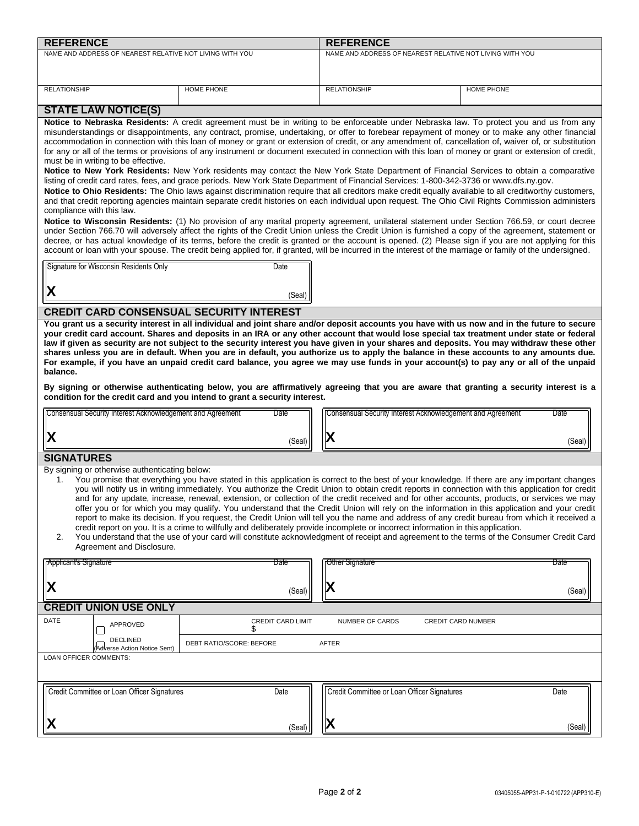| <b>REFERENCE</b>                                                                                                                                                                               |                                                                                                                                                        | <b>REFERENCE</b>                                                                                                                                                                                                                                                                                          |                           |  |  |  |  |  |
|------------------------------------------------------------------------------------------------------------------------------------------------------------------------------------------------|--------------------------------------------------------------------------------------------------------------------------------------------------------|-----------------------------------------------------------------------------------------------------------------------------------------------------------------------------------------------------------------------------------------------------------------------------------------------------------|---------------------------|--|--|--|--|--|
| NAME AND ADDRESS OF NEAREST RELATIVE NOT LIVING WITH YOU                                                                                                                                       |                                                                                                                                                        | NAME AND ADDRESS OF NEAREST RELATIVE NOT LIVING WITH YOU                                                                                                                                                                                                                                                  |                           |  |  |  |  |  |
|                                                                                                                                                                                                |                                                                                                                                                        |                                                                                                                                                                                                                                                                                                           |                           |  |  |  |  |  |
|                                                                                                                                                                                                |                                                                                                                                                        |                                                                                                                                                                                                                                                                                                           |                           |  |  |  |  |  |
| <b>RELATIONSHIP</b>                                                                                                                                                                            | <b>HOME PHONE</b>                                                                                                                                      | <b>RELATIONSHIP</b>                                                                                                                                                                                                                                                                                       | <b>HOME PHONE</b>         |  |  |  |  |  |
|                                                                                                                                                                                                |                                                                                                                                                        |                                                                                                                                                                                                                                                                                                           |                           |  |  |  |  |  |
| <b>STATE LAW NOTICE(S)</b>                                                                                                                                                                     |                                                                                                                                                        |                                                                                                                                                                                                                                                                                                           |                           |  |  |  |  |  |
|                                                                                                                                                                                                |                                                                                                                                                        | Notice to Nebraska Residents: A credit agreement must be in writing to be enforceable under Nebraska law. To protect you and us from any                                                                                                                                                                  |                           |  |  |  |  |  |
|                                                                                                                                                                                                |                                                                                                                                                        | misunderstandings or disappointments, any contract, promise, undertaking, or offer to forebear repayment of money or to make any other financial<br>accommodation in connection with this loan of money or grant or extension of credit, or any amendment of, cancellation of, waiver of, or substitution |                           |  |  |  |  |  |
|                                                                                                                                                                                                |                                                                                                                                                        |                                                                                                                                                                                                                                                                                                           |                           |  |  |  |  |  |
| for any or all of the terms or provisions of any instrument or document executed in connection with this loan of money or grant or extension of credit,<br>must be in writing to be effective. |                                                                                                                                                        |                                                                                                                                                                                                                                                                                                           |                           |  |  |  |  |  |
|                                                                                                                                                                                                | Notice to New York Residents: New York residents may contact the New York State Department of Financial Services to obtain a comparative               |                                                                                                                                                                                                                                                                                                           |                           |  |  |  |  |  |
| listing of credit card rates, fees, and grace periods. New York State Department of Financial Services: 1-800-342-3736 or www.dfs.ny.gov.                                                      |                                                                                                                                                        |                                                                                                                                                                                                                                                                                                           |                           |  |  |  |  |  |
|                                                                                                                                                                                                | Notice to Ohio Residents: The Ohio laws against discrimination require that all creditors make credit equally available to all creditworthy customers, |                                                                                                                                                                                                                                                                                                           |                           |  |  |  |  |  |
| compliance with this law.                                                                                                                                                                      |                                                                                                                                                        | and that credit reporting agencies maintain separate credit histories on each individual upon request. The Ohio Civil Rights Commission administers                                                                                                                                                       |                           |  |  |  |  |  |
|                                                                                                                                                                                                |                                                                                                                                                        | Notice to Wisconsin Residents: (1) No provision of any marital property agreement, unilateral statement under Section 766.59, or court decree                                                                                                                                                             |                           |  |  |  |  |  |
|                                                                                                                                                                                                |                                                                                                                                                        | under Section 766.70 will adversely affect the rights of the Credit Union unless the Credit Union is furnished a copy of the agreement, statement or                                                                                                                                                      |                           |  |  |  |  |  |
|                                                                                                                                                                                                |                                                                                                                                                        | decree, or has actual knowledge of its terms, before the credit is granted or the account is opened. (2) Please sign if you are not applying for this                                                                                                                                                     |                           |  |  |  |  |  |
|                                                                                                                                                                                                |                                                                                                                                                        | account or loan with your spouse. The credit being applied for, if granted, will be incurred in the interest of the marriage or family of the undersigned.                                                                                                                                                |                           |  |  |  |  |  |
| Signature for Wisconsin Residents Only                                                                                                                                                         | Date                                                                                                                                                   |                                                                                                                                                                                                                                                                                                           |                           |  |  |  |  |  |
|                                                                                                                                                                                                |                                                                                                                                                        |                                                                                                                                                                                                                                                                                                           |                           |  |  |  |  |  |
|                                                                                                                                                                                                |                                                                                                                                                        |                                                                                                                                                                                                                                                                                                           |                           |  |  |  |  |  |
| ΙX                                                                                                                                                                                             | (Seal)                                                                                                                                                 |                                                                                                                                                                                                                                                                                                           |                           |  |  |  |  |  |
| <b>CREDIT CARD CONSENSUAL SECURITY INTEREST</b>                                                                                                                                                |                                                                                                                                                        |                                                                                                                                                                                                                                                                                                           |                           |  |  |  |  |  |
|                                                                                                                                                                                                |                                                                                                                                                        | You grant us a security interest in all individual and joint share and/or deposit accounts you have with us now and in the future to secure                                                                                                                                                               |                           |  |  |  |  |  |
|                                                                                                                                                                                                |                                                                                                                                                        | your credit card account. Shares and deposits in an IRA or any other account that would lose special tax treatment under state or federal                                                                                                                                                                 |                           |  |  |  |  |  |
|                                                                                                                                                                                                |                                                                                                                                                        | law if given as security are not subject to the security interest you have given in your shares and deposits. You may withdraw these other                                                                                                                                                                |                           |  |  |  |  |  |
|                                                                                                                                                                                                |                                                                                                                                                        | shares unless you are in default. When you are in default, you authorize us to apply the balance in these accounts to any amounts due.                                                                                                                                                                    |                           |  |  |  |  |  |
| balance.                                                                                                                                                                                       |                                                                                                                                                        | For example, if you have an unpaid credit card balance, you agree we may use funds in your account(s) to pay any or all of the unpaid                                                                                                                                                                     |                           |  |  |  |  |  |
|                                                                                                                                                                                                |                                                                                                                                                        |                                                                                                                                                                                                                                                                                                           |                           |  |  |  |  |  |
|                                                                                                                                                                                                |                                                                                                                                                        | By signing or otherwise authenticating below, you are affirmatively agreeing that you are aware that granting a security interest is a                                                                                                                                                                    |                           |  |  |  |  |  |
| condition for the credit card and you intend to grant a security interest.                                                                                                                     |                                                                                                                                                        |                                                                                                                                                                                                                                                                                                           |                           |  |  |  |  |  |
| Consensual Security Interest Acknowledgement and Agreement                                                                                                                                     | Date                                                                                                                                                   | Consensual Security Interest Acknowledgement and Agreement                                                                                                                                                                                                                                                | Date                      |  |  |  |  |  |
|                                                                                                                                                                                                |                                                                                                                                                        |                                                                                                                                                                                                                                                                                                           |                           |  |  |  |  |  |
| X                                                                                                                                                                                              | (Seal)                                                                                                                                                 | IX                                                                                                                                                                                                                                                                                                        | (Seal)                    |  |  |  |  |  |
|                                                                                                                                                                                                |                                                                                                                                                        |                                                                                                                                                                                                                                                                                                           |                           |  |  |  |  |  |
| <b>SIGNATURES</b>                                                                                                                                                                              |                                                                                                                                                        |                                                                                                                                                                                                                                                                                                           |                           |  |  |  |  |  |
| By signing or otherwise authenticating below:                                                                                                                                                  |                                                                                                                                                        |                                                                                                                                                                                                                                                                                                           |                           |  |  |  |  |  |
| 1.                                                                                                                                                                                             |                                                                                                                                                        | You promise that everything you have stated in this application is correct to the best of your knowledge. If there are any important changes<br>you will notify us in writing immediately. You authorize the Credit Union to obtain credit reports in connection with this application for credit         |                           |  |  |  |  |  |
|                                                                                                                                                                                                |                                                                                                                                                        | and for any update, increase, renewal, extension, or collection of the credit received and for other accounts, products, or services we may                                                                                                                                                               |                           |  |  |  |  |  |
|                                                                                                                                                                                                |                                                                                                                                                        | offer you or for which you may qualify. You understand that the Credit Union will rely on the information in this application and your credit                                                                                                                                                             |                           |  |  |  |  |  |
|                                                                                                                                                                                                |                                                                                                                                                        | report to make its decision. If you request, the Credit Union will tell you the name and address of any credit bureau from which it received a                                                                                                                                                            |                           |  |  |  |  |  |
|                                                                                                                                                                                                |                                                                                                                                                        | credit report on you. It is a crime to willfully and deliberately provide incomplete or incorrect information in this application.                                                                                                                                                                        |                           |  |  |  |  |  |
| You understand that the use of your card will constitute acknowledgment of receipt and agreement to the terms of the Consumer Credit Card<br>2.<br>Agreement and Disclosure.                   |                                                                                                                                                        |                                                                                                                                                                                                                                                                                                           |                           |  |  |  |  |  |
|                                                                                                                                                                                                |                                                                                                                                                        |                                                                                                                                                                                                                                                                                                           |                           |  |  |  |  |  |
| Applicant's Signature                                                                                                                                                                          | Date                                                                                                                                                   | Other Signature                                                                                                                                                                                                                                                                                           | Date                      |  |  |  |  |  |
|                                                                                                                                                                                                |                                                                                                                                                        |                                                                                                                                                                                                                                                                                                           |                           |  |  |  |  |  |
| X                                                                                                                                                                                              | (Seal)                                                                                                                                                 | X                                                                                                                                                                                                                                                                                                         | (Seal)                    |  |  |  |  |  |
|                                                                                                                                                                                                |                                                                                                                                                        |                                                                                                                                                                                                                                                                                                           |                           |  |  |  |  |  |
| <b>CREDIT UNION USE ONLY</b>                                                                                                                                                                   |                                                                                                                                                        |                                                                                                                                                                                                                                                                                                           |                           |  |  |  |  |  |
| DATE<br>APPROVED                                                                                                                                                                               | <b>CREDIT CARD LIMIT</b><br>S                                                                                                                          | NUMBER OF CARDS                                                                                                                                                                                                                                                                                           | <b>CREDIT CARD NUMBER</b> |  |  |  |  |  |
| <b>DECLINED</b>                                                                                                                                                                                |                                                                                                                                                        |                                                                                                                                                                                                                                                                                                           |                           |  |  |  |  |  |
| Adverse Action Notice Sent)                                                                                                                                                                    | DEBT RATIO/SCORE: BEFORE                                                                                                                               | AFTER                                                                                                                                                                                                                                                                                                     |                           |  |  |  |  |  |
| LOAN OFFICER COMMENTS:                                                                                                                                                                         |                                                                                                                                                        |                                                                                                                                                                                                                                                                                                           |                           |  |  |  |  |  |
|                                                                                                                                                                                                |                                                                                                                                                        |                                                                                                                                                                                                                                                                                                           |                           |  |  |  |  |  |
|                                                                                                                                                                                                |                                                                                                                                                        |                                                                                                                                                                                                                                                                                                           |                           |  |  |  |  |  |
| Credit Committee or Loan Officer Signatures                                                                                                                                                    | Date                                                                                                                                                   | Credit Committee or Loan Officer Signatures                                                                                                                                                                                                                                                               | Date                      |  |  |  |  |  |
|                                                                                                                                                                                                |                                                                                                                                                        |                                                                                                                                                                                                                                                                                                           |                           |  |  |  |  |  |
|                                                                                                                                                                                                |                                                                                                                                                        |                                                                                                                                                                                                                                                                                                           |                           |  |  |  |  |  |
|                                                                                                                                                                                                | (Seal)                                                                                                                                                 | IХ                                                                                                                                                                                                                                                                                                        | (Seal)                    |  |  |  |  |  |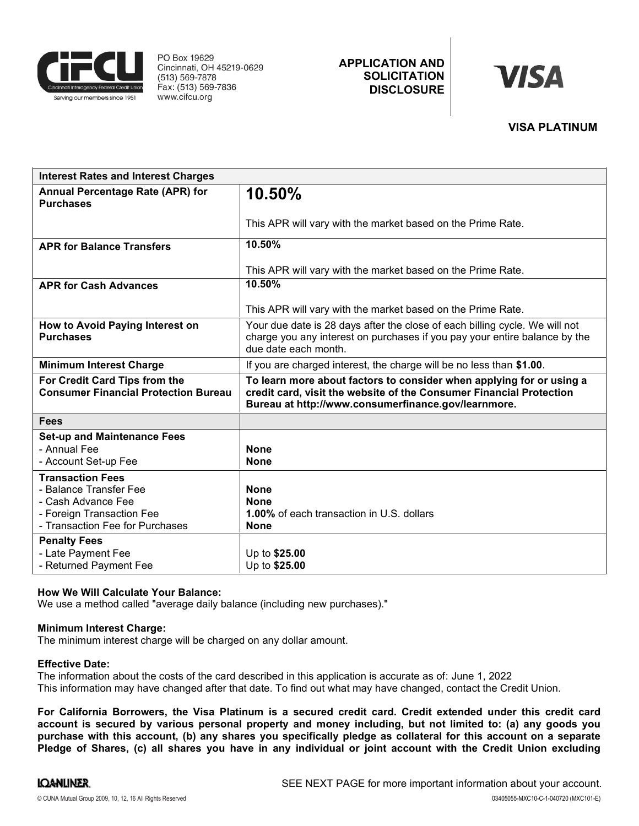

PO Box 19629 Cincinnati, OH 45219-0629 (513) 569-7878 Fax: (513) 569-7836 www.cifcu.org

# APPLICATION AND **SOLICITATION DISCLOSURE**

# **VISA**

## VISA PLATINUM

| <b>Interest Rates and Interest Charges</b>                                                                                              |                                                                                                                                                                                                    |  |  |  |  |
|-----------------------------------------------------------------------------------------------------------------------------------------|----------------------------------------------------------------------------------------------------------------------------------------------------------------------------------------------------|--|--|--|--|
| Annual Percentage Rate (APR) for<br><b>Purchases</b>                                                                                    | 10.50%                                                                                                                                                                                             |  |  |  |  |
|                                                                                                                                         | This APR will vary with the market based on the Prime Rate.                                                                                                                                        |  |  |  |  |
| <b>APR for Balance Transfers</b>                                                                                                        | 10.50%                                                                                                                                                                                             |  |  |  |  |
|                                                                                                                                         | This APR will vary with the market based on the Prime Rate.                                                                                                                                        |  |  |  |  |
| <b>APR for Cash Advances</b>                                                                                                            | 10.50%                                                                                                                                                                                             |  |  |  |  |
|                                                                                                                                         | This APR will vary with the market based on the Prime Rate.                                                                                                                                        |  |  |  |  |
| How to Avoid Paying Interest on<br><b>Purchases</b>                                                                                     | Your due date is 28 days after the close of each billing cycle. We will not<br>charge you any interest on purchases if you pay your entire balance by the<br>due date each month.                  |  |  |  |  |
| <b>Minimum Interest Charge</b>                                                                                                          | If you are charged interest, the charge will be no less than \$1.00.                                                                                                                               |  |  |  |  |
| For Credit Card Tips from the<br><b>Consumer Financial Protection Bureau</b>                                                            | To learn more about factors to consider when applying for or using a<br>credit card, visit the website of the Consumer Financial Protection<br>Bureau at http://www.consumerfinance.gov/learnmore. |  |  |  |  |
| <b>Fees</b>                                                                                                                             |                                                                                                                                                                                                    |  |  |  |  |
| <b>Set-up and Maintenance Fees</b><br>- Annual Fee<br>- Account Set-up Fee                                                              | <b>None</b><br><b>None</b>                                                                                                                                                                         |  |  |  |  |
| <b>Transaction Fees</b><br>- Balance Transfer Fee<br>- Cash Advance Fee<br>- Foreign Transaction Fee<br>- Transaction Fee for Purchases | <b>None</b><br><b>None</b><br><b>1.00%</b> of each transaction in U.S. dollars<br><b>None</b>                                                                                                      |  |  |  |  |
| <b>Penalty Fees</b><br>- Late Payment Fee<br>- Returned Payment Fee                                                                     | Up to \$25.00<br>Up to \$25.00                                                                                                                                                                     |  |  |  |  |

#### How We Will Calculate Your Balance:

We use a method called "average daily balance (including new purchases)."

#### Minimum Interest Charge:

The minimum interest charge will be charged on any dollar amount.

#### Effective Date:

The information about the costs of the card described in this application is accurate as of: June 1, 2022This information may have changed after that date. To find out what may have changed, contact the Credit Union.

For California Borrowers, the Visa Platinum is a secured credit card. Credit extended under this credit card account is secured by various personal property and money including, but not limited to: (a) any goods you purchase with this account, (b) any shares you specifically pledge as collateral for this account on a separate Pledge of Shares, (c) all shares you have in any individual or joint account with the Credit Union excluding